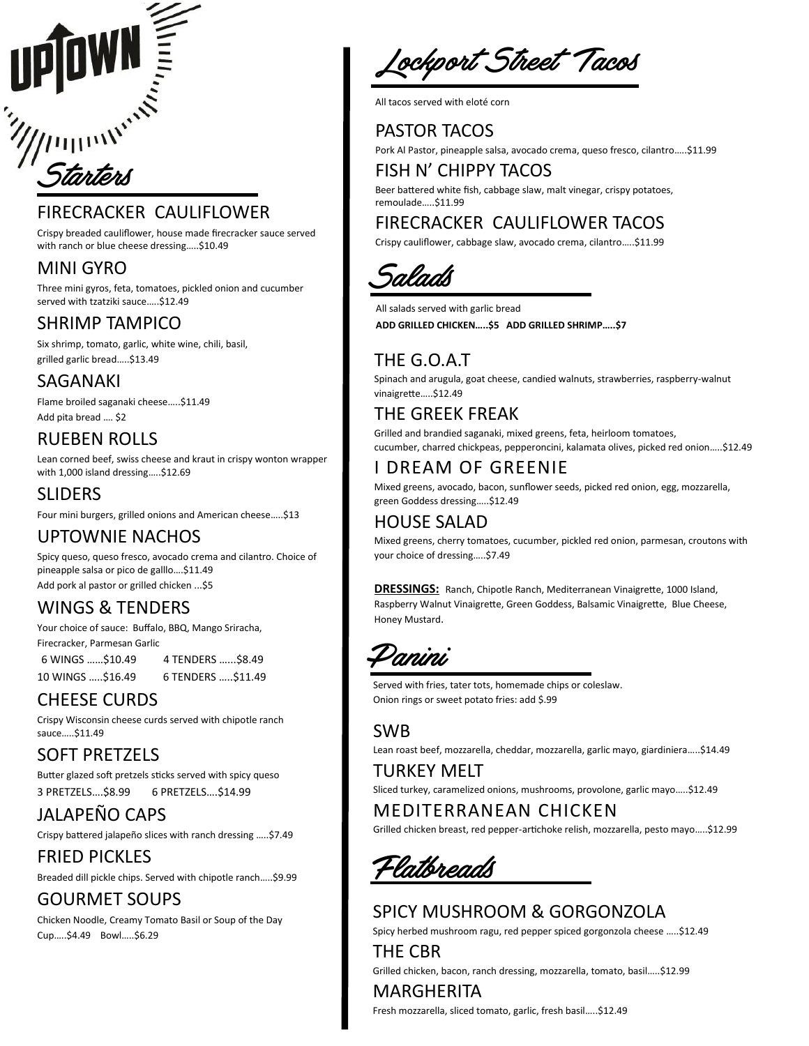# Starters

# FIRECRACKER CAULIFLOWER

Crispy breaded cauliflower, house made firecracker sauce served with ranch or blue cheese dressing…..\$10.49

# MINI GYRO

Three mini gyros, feta, tomatoes, pickled onion and cucumber served with tzatziki sauce.....\$12.49

# SHRIMP TAMPICO

Six shrimp, tomato, garlic, white wine, chili, basil, grilled garlic bread…..\$13.49

# SAGANAKI

Flame broiled saganaki cheese…..\$11.49 Add pita bread …. \$2

# RUEBEN ROLLS

Lean corned beef, swiss cheese and kraut in crispy wonton wrapper with 1,000 island dressing…..\$12.69

# SLIDERS

Four mini burgers, grilled onions and American cheese…..\$13

# UPTOWNIE NACHOS

Spicy queso, queso fresco, avocado crema and cilantro. Choice of pineapple salsa or pico de galllo….\$11.49 Add pork al pastor or grilled chicken ...\$5

# WINGS & TENDERS

Your choice of sauce: Buffalo, BBQ, Mango Sriracha, Firecracker, Parmesan Garlic

 6 WINGS ……\$10.49 4 TENDERS …...\$8.49 10 WINGS …..\$16.49 6 TENDERS …..\$11.49

# CHEESE CURDS

Crispy Wisconsin cheese curds served with chipotle ranch sauce…..\$11.49

# SOFT PRETZELS

Butter glazed soft pretzels sticks served with spicy queso 3 PRETZELS….\$8.99 6 PRETZELS….\$14.99

# JALAPEÑO CAPS

Crispy battered jalapeño slices with ranch dressing …..\$7.49

FRIED PICKLES Breaded dill pickle chips. Served with chipotle ranch…..\$9.99

# GOURMET SOUPS

Chicken Noodle, Creamy Tomato Basil or Soup of the Day Cup…..\$4.49 Bowl…..\$6.29

Lockport Street Tacos

All tacos served with eloté corn

# PASTOR TACOS

Pork Al Pastor, pineapple salsa, avocado crema, queso fresco, cilantro…..\$11.99

FISH N' CHIPPY TACOS

Beer battered white fish, cabbage slaw, malt vinegar, crispy potatoes, remoulade…..\$11.99

# FIRECRACKER CAULIFLOWER TACOS

Crispy cauliflower, cabbage slaw, avocado crema, cilantro…..\$11.99



All salads served with garlic bread **ADD GRILLED CHICKEN…..\$5 ADD GRILLED SHRIMP…..\$7**

# THE G.O.A.T

Spinach and arugula, goat cheese, candied walnuts, strawberries, raspberry-walnut vinaigrette…..\$12.49

# THE GREEK FREAK

Grilled and brandied saganaki, mixed greens, feta, heirloom tomatoes, cucumber, charred chickpeas, pepperoncini, kalamata olives, picked red onion…..\$12.49

# I DREAM OF GREENIE

Mixed greens, avocado, bacon, sunflower seeds, picked red onion, egg, mozzarella, green Goddess dressing…..\$12.49

# HOUSE SALAD

Mixed greens, cherry tomatoes, cucumber, pickled red onion, parmesan, croutons with your choice of dressing…..\$7.49

**DRESSINGS:** Ranch, Chipotle Ranch, Mediterranean Vinaigrette, 1000 Island, Raspberry Walnut Vinaigrette, Green Goddess, Balsamic Vinaigrette, Blue Cheese, Honey Mustard.

Panini

Served with fries, tater tots, homemade chips or coleslaw. Onion rings or sweet potato fries: add \$.99

### SWB Lean roast beef, mozzarella, cheddar, mozzarella, garlic mayo, giardiniera…..\$14.49

TURKEY MELT Sliced turkey, caramelized onions, mushrooms, provolone, garlic mayo…..\$12.49

# MEDITERRANEAN CHICKEN

Grilled chicken breast, red pepper-artichoke relish, mozzarella, pesto mayo…..\$12.99

Flatbreads

# SPICY MUSHROOM & GORGONZOLA

Spicy herbed mushroom ragu, red pepper spiced gorgonzola cheese …..\$12.49

THE CBR Grilled chicken, bacon, ranch dressing, mozzarella, tomato, basil…..\$12.99

### MARGHERITA Fresh mozzarella, sliced tomato, garlic, fresh basil…..\$12.49